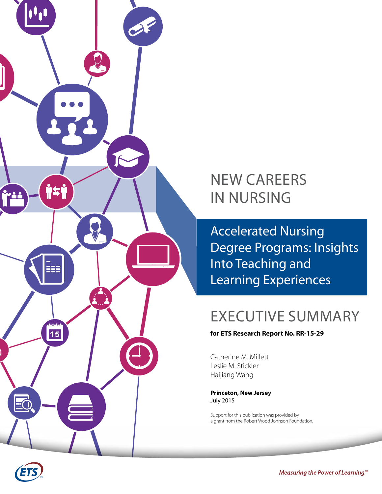

## NEW CAREERS IN NURSING

Accelerated Nursing Degree Programs: Insights Into Teaching and Learning Experiences

# EXECUTIVE SUMMARY

### **for ETS Research Report No. RR-15-29**

Catherine M. Millett Leslie M. Stickler Haijiang Wang

**Princeton, New Jersey** July 2015

Support for this publication was provided by a grant from the Robert Wood Johnson Foundation.

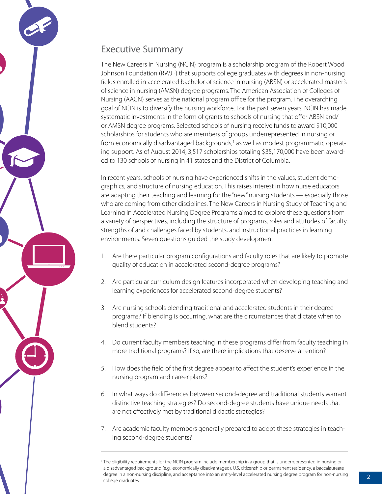

### Executive Summary

The New Careers in Nursing (NCIN) program is a scholarship program of the Robert Wood Johnson Foundation (RWJF) that supports college graduates with degrees in non-nursing fields enrolled in accelerated bachelor of science in nursing (ABSN) or accelerated master's of science in nursing (AMSN) degree programs. The American Association of Colleges of Nursing (AACN) serves as the national program office for the program. The overarching goal of NCIN is to diversify the nursing workforce. For the past seven years, NCIN has made systematic investments in the form of grants to schools of nursing that offer ABSN and/ or AMSN degree programs. Selected schools of nursing receive funds to award \$10,000 scholarships for students who are members of groups underrepresented in nursing or from economically disadvantaged backgrounds,<sup>1</sup> as well as modest programmatic operating support. As of August 2014, 3,517 scholarships totaling \$35,170,000 have been awarded to 130 schools of nursing in 41 states and the District of Columbia.

In recent years, schools of nursing have experienced shifts in the values, student demographics, and structure of nursing education. This raises interest in how nurse educators are adapting their teaching and learning for the "new" nursing students — especially those who are coming from other disciplines. The New Careers in Nursing Study of Teaching and Learning in Accelerated Nursing Degree Programs aimed to explore these questions from a variety of perspectives, including the structure of programs, roles and attitudes of faculty, strengths of and challenges faced by students, and instructional practices in learning environments. Seven questions guided the study development:

- 1. Are there particular program configurations and faculty roles that are likely to promote quality of education in accelerated second-degree programs?
- 2. Are particular curriculum design features incorporated when developing teaching and learning experiences for accelerated second-degree students?
- 3. Are nursing schools blending traditional and accelerated students in their degree programs? If blending is occurring, what are the circumstances that dictate when to blend students?
- 4. Do current faculty members teaching in these programs differ from faculty teaching in more traditional programs? If so, are there implications that deserve attention?
- 5. How does the field of the first degree appear to affect the student's experience in the nursing program and career plans?
- 6. In what ways do differences between second-degree and traditional students warrant distinctive teaching strategies? Do second-degree students have unique needs that are not effectively met by traditional didactic strategies?
- 7. Are academic faculty members generally prepared to adopt these strategies in teaching second-degree students?

<sup>1</sup> The eligibility requirements for the NCIN program include membership in a group that is underrepresented in nursing or a disadvantaged background (e.g., economically disadvantaged), U.S. citizenship or permanent residency, a baccalaureate degree in a non-nursing discipline, and acceptance into an entry-level accelerated nursing degree program for non-nursing college graduates.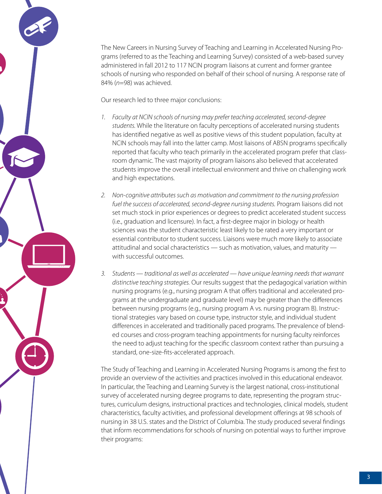The New Careers in Nursing Survey of Teaching and Learning in Accelerated Nursing Programs (referred to as the Teaching and Learning Survey) consisted of a web-based survey administered in fall 2012 to 117 NCIN program liaisons at current and former grantee schools of nursing who responded on behalf of their school of nursing. A response rate of 84% (*n*=98) was achieved.

Our research led to three major conclusions:

- *1. Faculty at NCIN schools of nursing may prefer teaching accelerated, second-degree students.* While the literature on faculty perceptions of accelerated nursing students has identified negative as well as positive views of this student population, faculty at NCIN schools may fall into the latter camp. Most liaisons of ABSN programs specifically reported that faculty who teach primarily in the accelerated program prefer that classroom dynamic. The vast majority of program liaisons also believed that accelerated students improve the overall intellectual environment and thrive on challenging work and high expectations.
- *2. Non-cognitive attributes such as motivation and commitment to the nursing profession fuel the success of accelerated, second-degree nursing students.* Program liaisons did not set much stock in prior experiences or degrees to predict accelerated student success (i.e., graduation and licensure). In fact, a first-degree major in biology or health sciences was the student characteristic least likely to be rated a very important or essential contributor to student success. Liaisons were much more likely to associate attitudinal and social characteristics — such as motivation, values, and maturity with successful outcomes.
- *3. Students traditional as well as accelerated have unique learning needs that warrant distinctive teaching strategies.* Our results suggest that the pedagogical variation within nursing programs (e.g., nursing program A that offers traditional and accelerated programs at the undergraduate and graduate level) may be greater than the differences between nursing programs (e.g., nursing program A vs. nursing program B). Instructional strategies vary based on course type, instructor style, and individual student differences in accelerated and traditionally paced programs. The prevalence of blended courses and cross-program teaching appointments for nursing faculty reinforces the need to adjust teaching for the specific classroom context rather than pursuing a standard, one-size-fits-accelerated approach.

The Study of Teaching and Learning in Accelerated Nursing Programs is among the first to provide an overview of the activities and practices involved in this educational endeavor. In particular, the Teaching and Learning Survey is the largest national, cross-institutional survey of accelerated nursing degree programs to date, representing the program structures, curriculum designs, instructional practices and technologies, clinical models, student characteristics, faculty activities, and professional development offerings at 98 schools of nursing in 38 U.S. states and the District of Columbia. The study produced several findings that inform recommendations for schools of nursing on potential ways to further improve their programs: